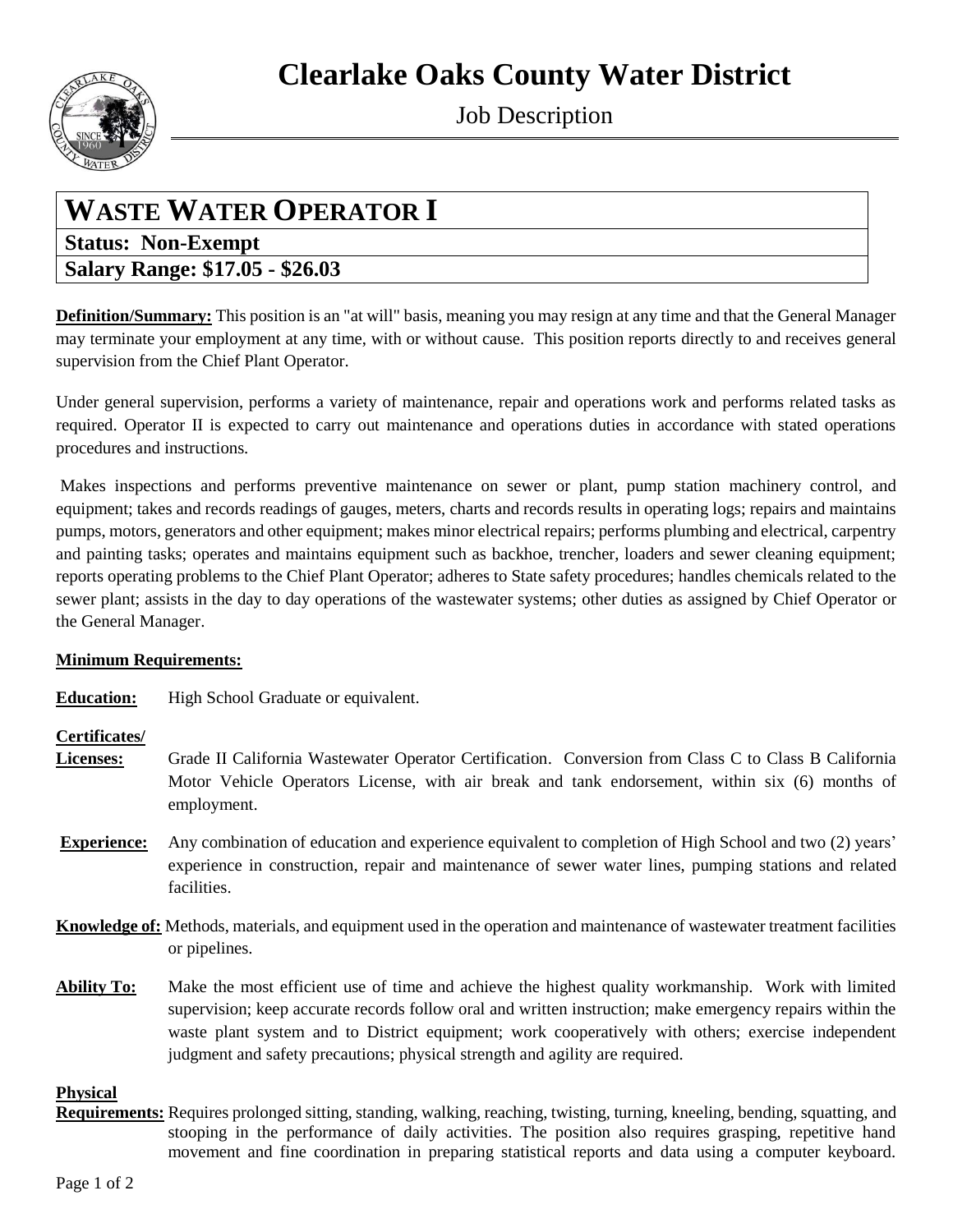# **Clearlake Oaks County Water District**



Job Description

## **WASTE WATER OPERATOR I**

### **Status: Non-Exempt Salary Range: \$17.05 - \$26.03**

**Definition/Summary:** This position is an "at will" basis, meaning you may resign at any time and that the General Manager may terminate your employment at any time, with or without cause. This position reports directly to and receives general supervision from the Chief Plant Operator.

Under general supervision, performs a variety of maintenance, repair and operations work and performs related tasks as required. Operator II is expected to carry out maintenance and operations duties in accordance with stated operations procedures and instructions.

Makes inspections and performs preventive maintenance on sewer or plant, pump station machinery control, and equipment; takes and records readings of gauges, meters, charts and records results in operating logs; repairs and maintains pumps, motors, generators and other equipment; makes minor electrical repairs; performs plumbing and electrical, carpentry and painting tasks; operates and maintains equipment such as backhoe, trencher, loaders and sewer cleaning equipment; reports operating problems to the Chief Plant Operator; adheres to State safety procedures; handles chemicals related to the sewer plant; assists in the day to day operations of the wastewater systems; other duties as assigned by Chief Operator or the General Manager.

#### **Minimum Requirements:**

**Education:** High School Graduate or equivalent.

#### **Certificates/**

- **Licenses:** Grade II California Wastewater Operator Certification. Conversion from Class C to Class B California Motor Vehicle Operators License, with air break and tank endorsement, within six (6) months of employment.
- **Experience:** Any combination of education and experience equivalent to completion of High School and two (2) years' experience in construction, repair and maintenance of sewer water lines, pumping stations and related facilities.
- **Knowledge of:** Methods, materials, and equipment used in the operation and maintenance of wastewater treatment facilities or pipelines.
- **Ability To:** Make the most efficient use of time and achieve the highest quality workmanship. Work with limited supervision; keep accurate records follow oral and written instruction; make emergency repairs within the waste plant system and to District equipment; work cooperatively with others; exercise independent judgment and safety precautions; physical strength and agility are required.

#### **Physical**

**Requirements:** Requires prolonged sitting, standing, walking, reaching, twisting, turning, kneeling, bending, squatting, and stooping in the performance of daily activities. The position also requires grasping, repetitive hand movement and fine coordination in preparing statistical reports and data using a computer keyboard.